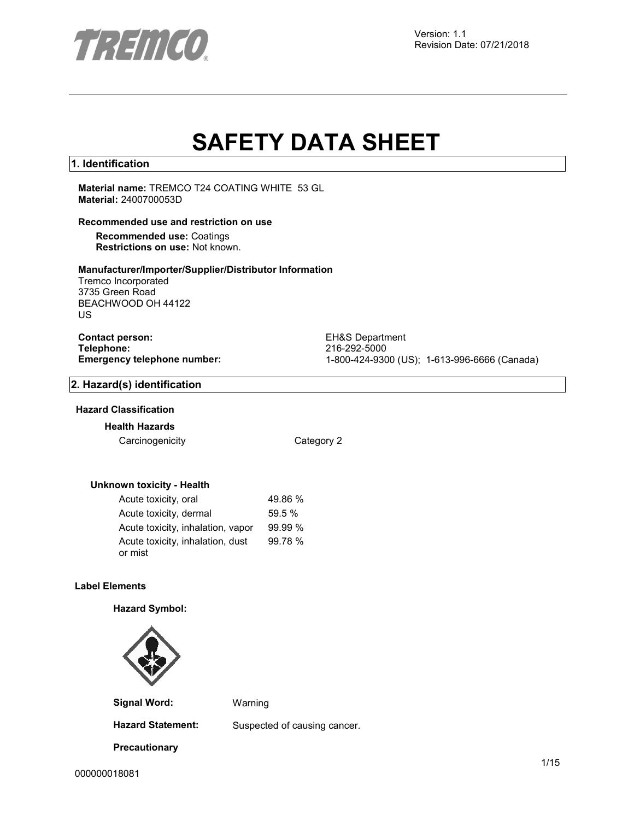

# **SAFETY DATA SHEET**

### **1. Identification**

**Material name:** TREMCO T24 COATING WHITE 53 GL **Material:** 2400700053D

### **Recommended use and restriction on use**

**Recommended use:** Coatings **Restrictions on use:** Not known.

### **Manufacturer/Importer/Supplier/Distributor Information**

Tremco Incorporated 3735 Green Road BEACHWOOD OH 44122 US

**Contact person:** EH&S Department<br>
Telephone: 216-292-5000 **Telephone:** 216-292-5000

**Emergency telephone number:** 1-800-424-9300 (US); 1-613-996-6666 (Canada)

### **2. Hazard(s) identification**

### **Hazard Classification**

**Health Hazards**

Carcinogenicity **Category 2** 

### **Unknown toxicity - Health**

| Acute toxicity, oral                        | 49.86 % |
|---------------------------------------------|---------|
| Acute toxicity, dermal                      | 59.5%   |
| Acute toxicity, inhalation, vapor           | 99.99%  |
| Acute toxicity, inhalation, dust<br>or mist | 99.78 % |

### **Label Elements**

### **Hazard Symbol:**



**Signal Word:** Warning

**Precautionary** 

**Hazard Statement:** Suspected of causing cancer.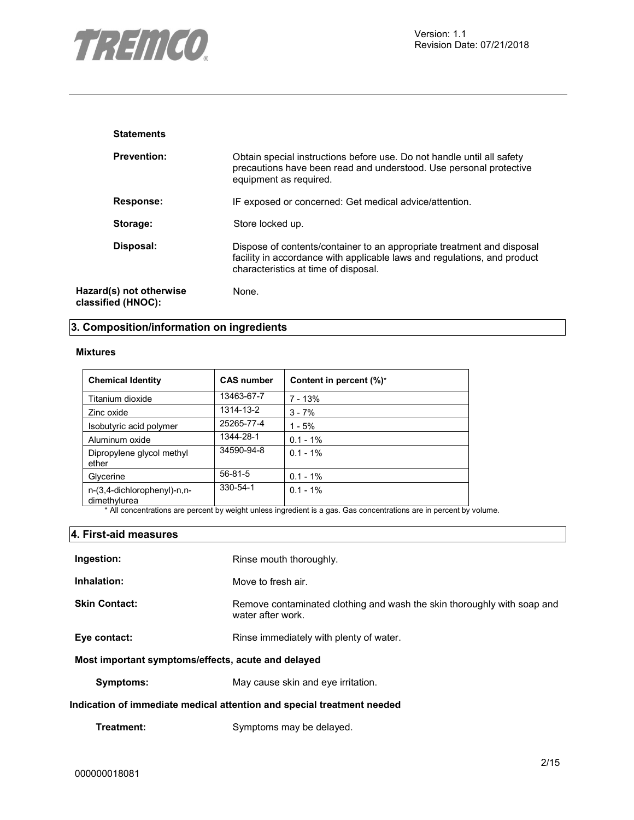

| <b>Statements</b>                             |                                                                                                                                                                                            |
|-----------------------------------------------|--------------------------------------------------------------------------------------------------------------------------------------------------------------------------------------------|
| <b>Prevention:</b>                            | Obtain special instructions before use. Do not handle until all safety<br>precautions have been read and understood. Use personal protective<br>equipment as required.                     |
| Response:                                     | IF exposed or concerned: Get medical advice/attention.                                                                                                                                     |
| Storage:                                      | Store locked up.                                                                                                                                                                           |
| Disposal:                                     | Dispose of contents/container to an appropriate treatment and disposal<br>facility in accordance with applicable laws and regulations, and product<br>characteristics at time of disposal. |
| Hazard(s) not otherwise<br>classified (HNOC): | None.                                                                                                                                                                                      |

### **3. Composition/information on ingredients**

### **Mixtures**

| <b>Chemical Identity</b>                    | <b>CAS number</b> | Content in percent (%)* |
|---------------------------------------------|-------------------|-------------------------|
| Titanium dioxide                            | 13463-67-7        | 7 - 13%                 |
| Zinc oxide                                  | 1314-13-2         | $3 - 7%$                |
| Isobutyric acid polymer                     | 25265-77-4        | $1 - 5%$                |
| Aluminum oxide                              | 1344-28-1         | $0.1 - 1\%$             |
| Dipropylene glycol methyl<br>ether          | 34590-94-8        | $0.1 - 1\%$             |
| Glycerine                                   | $56 - 81 - 5$     | $0.1 - 1\%$             |
| n-(3,4-dichlorophenyl)-n,n-<br>dimethylurea | 330-54-1          | $0.1 - 1\%$             |

\* All concentrations are percent by weight unless ingredient is a gas. Gas concentrations are in percent by volume.

### **4. First-aid measures**

| Ingestion:                                         | Rinse mouth thoroughly.                                                                      |  |
|----------------------------------------------------|----------------------------------------------------------------------------------------------|--|
| Inhalation:                                        | Move to fresh air.                                                                           |  |
| <b>Skin Contact:</b>                               | Remove contaminated clothing and wash the skin thoroughly with soap and<br>water after work. |  |
| Eye contact:                                       | Rinse immediately with plenty of water.                                                      |  |
| Most important symptoms/effects, acute and delayed |                                                                                              |  |
| Symptoms:                                          | May cause skin and eye irritation.                                                           |  |

### **Indication of immediate medical attention and special treatment needed**

| Treatment: | Symptoms may be delayed. |
|------------|--------------------------|
|------------|--------------------------|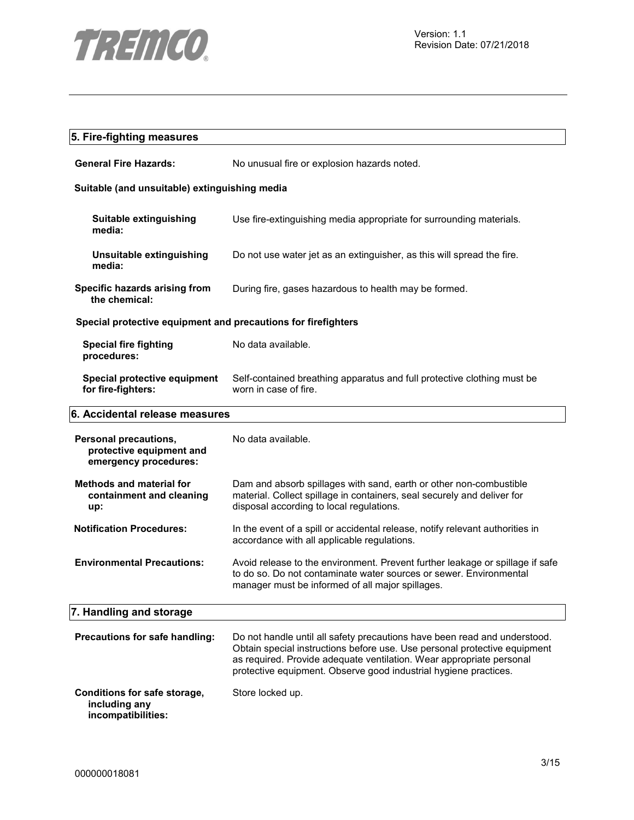

### **5. Fire-fighting measures**

| <b>General Fire Hazards:</b> | No unusual fire or explosion hazards noted. |
|------------------------------|---------------------------------------------|
|                              |                                             |

### **Suitable (and unsuitable) extinguishing media**

| Suitable extinguishing<br>media:                              | Use fire-extinguishing media appropriate for surrounding materials.                              |  |
|---------------------------------------------------------------|--------------------------------------------------------------------------------------------------|--|
| Unsuitable extinguishing<br>media:                            | Do not use water jet as an extinguisher, as this will spread the fire.                           |  |
| Specific hazards arising from<br>the chemical:                | During fire, gases hazardous to health may be formed.                                            |  |
| Special protective equipment and precautions for firefighters |                                                                                                  |  |
| <b>Special fire fighting</b><br>procedures:                   | No data available.                                                                               |  |
| Special protective equipment<br>for fire-fighters:            | Self-contained breathing apparatus and full protective clothing must be<br>worn in case of fire. |  |

### **6. Accidental release measures**

| Personal precautions,<br>protective equipment and<br>emergency procedures: | No data available.                                                                                                                                                                                      |
|----------------------------------------------------------------------------|---------------------------------------------------------------------------------------------------------------------------------------------------------------------------------------------------------|
| <b>Methods and material for</b><br>containment and cleaning<br>up:         | Dam and absorb spillages with sand, earth or other non-combustible<br>material. Collect spillage in containers, seal securely and deliver for<br>disposal according to local regulations.               |
| <b>Notification Procedures:</b>                                            | In the event of a spill or accidental release, notify relevant authorities in<br>accordance with all applicable regulations.                                                                            |
| <b>Environmental Precautions:</b>                                          | Avoid release to the environment. Prevent further leakage or spillage if safe<br>to do so. Do not contaminate water sources or sewer. Environmental<br>manager must be informed of all major spillages. |
| 7. Handling and storage                                                    |                                                                                                                                                                                                         |
|                                                                            |                                                                                                                                                                                                         |

### **Precautions for safe handling:** Do not handle until all safety precautions have been read and understood. Obtain special instructions before use. Use personal protective equipment as required. Provide adequate ventilation. Wear appropriate personal protective equipment. Observe good industrial hygiene practices.

#### **Conditions for safe storage, including any**  Store locked up.

**incompatibilities:**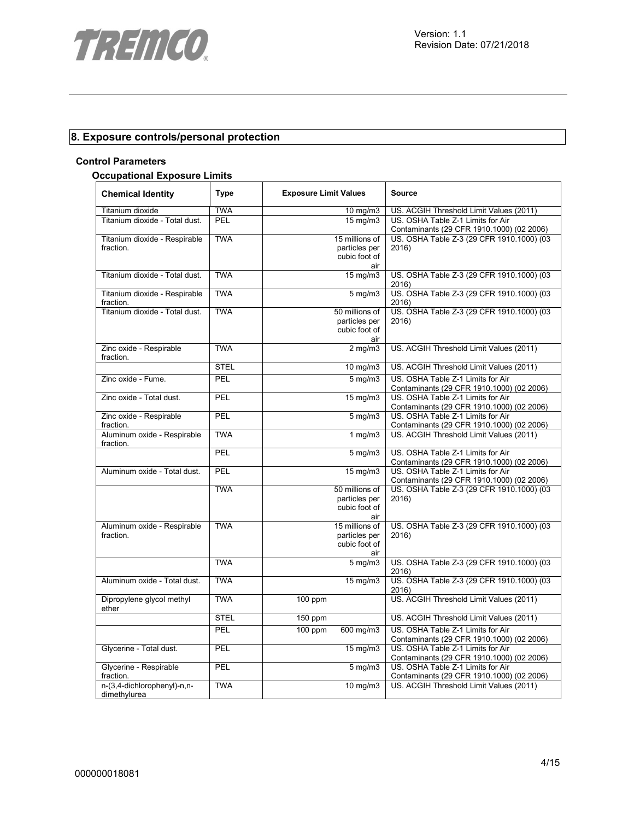

### **8. Exposure controls/personal protection**

### **Control Parameters**

### **Occupational Exposure Limits**

| <b>Chemical Identity</b>                    | <b>Type</b> | <b>Exposure Limit Values</b> |                                | <b>Source</b>                                                                  |
|---------------------------------------------|-------------|------------------------------|--------------------------------|--------------------------------------------------------------------------------|
| Titanium dioxide                            | <b>TWA</b>  |                              | $10 \text{ mg/m}$              | US. ACGIH Threshold Limit Values (2011)                                        |
| Titanium dioxide - Total dust.              | PEL         |                              | 15 mg/m3                       | US. OSHA Table Z-1 Limits for Air<br>Contaminants (29 CFR 1910.1000) (02 2006) |
| Titanium dioxide - Respirable               | <b>TWA</b>  |                              | 15 millions of                 | US. OSHA Table Z-3 (29 CFR 1910.1000) (03                                      |
| fraction.                                   |             |                              | particles per                  | 2016)                                                                          |
|                                             |             |                              | cubic foot of<br>air           |                                                                                |
| Titanium dioxide - Total dust.              | <b>TWA</b>  |                              | $15 \text{ mg/m}$              | US. OSHA Table Z-3 (29 CFR 1910.1000) (03<br>2016)                             |
| Titanium dioxide - Respirable<br>fraction.  | <b>TWA</b>  |                              | $5$ mg/m $3$                   | US. OSHA Table Z-3 (29 CFR 1910.1000) (03<br>2016)                             |
| Titanium dioxide - Total dust.              | <b>TWA</b>  |                              | 50 millions of                 | US. OSHA Table Z-3 (29 CFR 1910.1000) (03                                      |
|                                             |             |                              | particles per                  | 2016)                                                                          |
|                                             |             |                              | cubic foot of<br>air           |                                                                                |
| Zinc oxide - Respirable<br>fraction.        | <b>TWA</b>  |                              | $2 \text{ mg/m}$               | US. ACGIH Threshold Limit Values (2011)                                        |
|                                             | <b>STEL</b> |                              | $10 \text{ mg/m}$              | US. ACGIH Threshold Limit Values (2011)                                        |
| Zinc oxide - Fume.                          | <b>PEL</b>  |                              | $5 \text{ mg/m}$               | US. OSHA Table Z-1 Limits for Air<br>Contaminants (29 CFR 1910.1000) (02 2006) |
| Zinc oxide - Total dust.                    | PEL         |                              | 15 mg/m3                       | US. OSHA Table Z-1 Limits for Air                                              |
|                                             |             |                              |                                | Contaminants (29 CFR 1910.1000) (02 2006)                                      |
| Zinc oxide - Respirable<br>fraction.        | PEL         |                              | $5$ mg/m $3$                   | US. OSHA Table Z-1 Limits for Air<br>Contaminants (29 CFR 1910.1000) (02 2006) |
| Aluminum oxide - Respirable<br>fraction.    | <b>TWA</b>  |                              | 1 $mg/m3$                      | US. ACGIH Threshold Limit Values (2011)                                        |
|                                             | PEL         |                              | $5$ mg/m $3$                   | US. OSHA Table Z-1 Limits for Air<br>Contaminants (29 CFR 1910.1000) (02 2006) |
| Aluminum oxide - Total dust.                | PEL         |                              | 15 mg/m3                       | US. OSHA Table Z-1 Limits for Air<br>Contaminants (29 CFR 1910.1000) (02 2006) |
|                                             | <b>TWA</b>  |                              | 50 millions of                 | US. OSHA Table Z-3 (29 CFR 1910.1000) (03                                      |
|                                             |             |                              | particles per                  | 2016)                                                                          |
|                                             |             |                              | cubic foot of                  |                                                                                |
|                                             |             |                              | air                            |                                                                                |
| Aluminum oxide - Respirable                 | <b>TWA</b>  |                              | 15 millions of                 | US. OSHA Table Z-3 (29 CFR 1910.1000) (03                                      |
| fraction.                                   |             |                              | particles per<br>cubic foot of | 2016)                                                                          |
|                                             |             |                              | air                            |                                                                                |
|                                             | <b>TWA</b>  |                              | $5 \text{ mg/m}$               | US. OSHA Table Z-3 (29 CFR 1910.1000) (03<br>2016)                             |
| Aluminum oxide - Total dust.                | <b>TWA</b>  |                              | 15 mg/m3                       | US. OSHA Table Z-3 (29 CFR 1910.1000) (03<br>2016)                             |
| Dipropylene glycol methyl<br>ether          | <b>TWA</b>  | $100$ ppm                    |                                | US. ACGIH Threshold Limit Values (2011)                                        |
|                                             | <b>STEL</b> | 150 ppm                      |                                | US. ACGIH Threshold Limit Values (2011)                                        |
|                                             | PEL         | 100 ppm                      | 600 mg/m3                      | US. OSHA Table Z-1 Limits for Air<br>Contaminants (29 CFR 1910.1000) (02 2006) |
| Glycerine - Total dust.                     | PEL         |                              | 15 mg/m3                       | US. OSHA Table Z-1 Limits for Air<br>Contaminants (29 CFR 1910.1000) (02 2006) |
| Glycerine - Respirable<br>fraction.         | PEL         |                              | $5$ mg/m $3$                   | US. OSHA Table Z-1 Limits for Air<br>Contaminants (29 CFR 1910.1000) (02 2006) |
| n-(3,4-dichlorophenyl)-n,n-<br>dimethylurea | <b>TWA</b>  |                              | 10 mg/m3                       | US. ACGIH Threshold Limit Values (2011)                                        |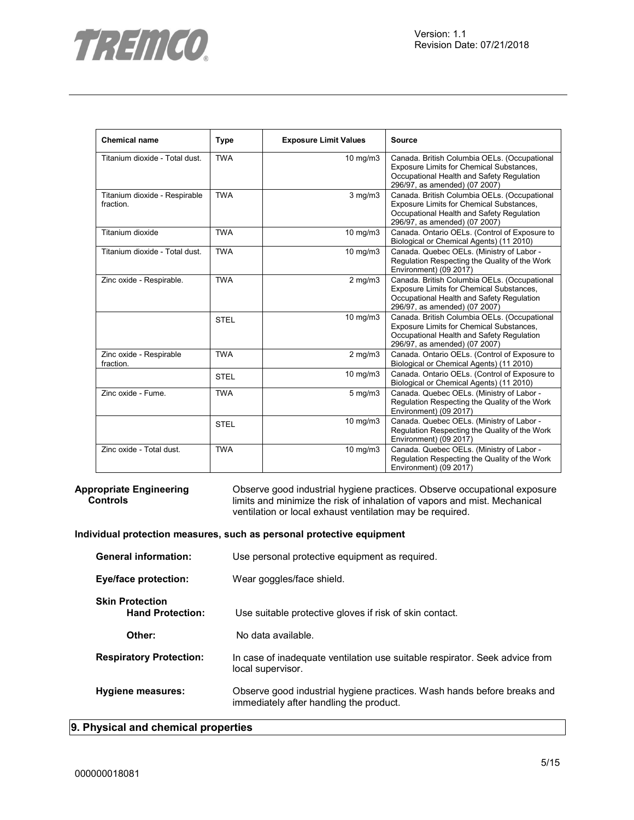

| <b>Chemical name</b>                       | <b>Type</b> | <b>Exposure Limit Values</b> | <b>Source</b>                                                                                                                                                          |
|--------------------------------------------|-------------|------------------------------|------------------------------------------------------------------------------------------------------------------------------------------------------------------------|
| Titanium dioxide - Total dust.             | <b>TWA</b>  | 10 mg/m3                     | Canada. British Columbia OELs. (Occupational<br>Exposure Limits for Chemical Substances,<br>Occupational Health and Safety Regulation<br>296/97, as amended) (07 2007) |
| Titanium dioxide - Respirable<br>fraction. | <b>TWA</b>  | $3$ mg/m $3$                 | Canada. British Columbia OELs. (Occupational<br>Exposure Limits for Chemical Substances,<br>Occupational Health and Safety Regulation<br>296/97, as amended) (07 2007) |
| Titanium dioxide                           | <b>TWA</b>  | 10 mg/m3                     | Canada. Ontario OELs. (Control of Exposure to<br>Biological or Chemical Agents) (11 2010)                                                                              |
| Titanium dioxide - Total dust.             | <b>TWA</b>  | 10 mg/m3                     | Canada. Quebec OELs. (Ministry of Labor -<br>Regulation Respecting the Quality of the Work<br>Environment) (09 2017)                                                   |
| Zinc oxide - Respirable.                   | <b>TWA</b>  | $2$ mg/m $3$                 | Canada. British Columbia OELs. (Occupational<br>Exposure Limits for Chemical Substances,<br>Occupational Health and Safety Regulation<br>296/97, as amended) (07 2007) |
|                                            | <b>STEL</b> | 10 mg/m3                     | Canada. British Columbia OELs. (Occupational<br>Exposure Limits for Chemical Substances,<br>Occupational Health and Safety Regulation<br>296/97, as amended) (07 2007) |
| Zinc oxide - Respirable<br>fraction.       | <b>TWA</b>  | $2$ mg/m $3$                 | Canada. Ontario OELs. (Control of Exposure to<br>Biological or Chemical Agents) (11 2010)                                                                              |
|                                            | <b>STEL</b> | 10 mg/m3                     | Canada. Ontario OELs. (Control of Exposure to<br>Biological or Chemical Agents) (11 2010)                                                                              |
| Zinc oxide - Fume.                         | <b>TWA</b>  | $5$ mg/m $3$                 | Canada. Quebec OELs. (Ministry of Labor -<br>Regulation Respecting the Quality of the Work<br>Environment) (09 2017)                                                   |
|                                            | <b>STEL</b> | 10 mg/m3                     | Canada. Quebec OELs. (Ministry of Labor -<br>Regulation Respecting the Quality of the Work<br>Environment) (09 2017)                                                   |
| Zinc oxide - Total dust.                   | <b>TWA</b>  | 10 mg/m3                     | Canada. Quebec OELs. (Ministry of Labor -<br>Regulation Respecting the Quality of the Work<br>Environment) (09 2017)                                                   |

#### **Appropriate Engineering Controls**

Observe good industrial hygiene practices. Observe occupational exposure limits and minimize the risk of inhalation of vapors and mist. Mechanical ventilation or local exhaust ventilation may be required.

### **Individual protection measures, such as personal protective equipment**

| <b>General information:</b>                       | Use personal protective equipment as required.                                                                     |  |  |
|---------------------------------------------------|--------------------------------------------------------------------------------------------------------------------|--|--|
| Eye/face protection:                              | Wear goggles/face shield.                                                                                          |  |  |
| <b>Skin Protection</b><br><b>Hand Protection:</b> | Use suitable protective gloves if risk of skin contact.                                                            |  |  |
| Other:                                            | No data available.                                                                                                 |  |  |
| <b>Respiratory Protection:</b>                    | In case of inadequate ventilation use suitable respirator. Seek advice from<br>local supervisor.                   |  |  |
| Hygiene measures:                                 | Observe good industrial hygiene practices. Wash hands before breaks and<br>immediately after handling the product. |  |  |

### **9. Physical and chemical properties**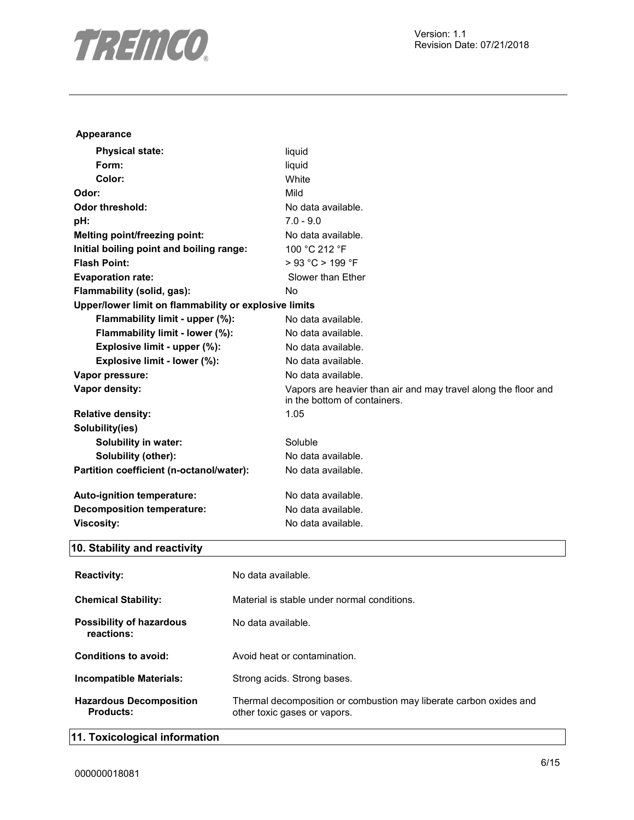

| <b>Appearance</b>                                     |                                             |                                                                                                |  |  |
|-------------------------------------------------------|---------------------------------------------|------------------------------------------------------------------------------------------------|--|--|
| <b>Physical state:</b>                                |                                             | liquid                                                                                         |  |  |
| Form:                                                 |                                             | liquid                                                                                         |  |  |
| Color:                                                |                                             | White                                                                                          |  |  |
| Odor:                                                 |                                             | Mild                                                                                           |  |  |
| <b>Odor threshold:</b>                                |                                             | No data available.                                                                             |  |  |
| pH:                                                   |                                             | $7.0 - 9.0$                                                                                    |  |  |
| Melting point/freezing point:                         |                                             | No data available.                                                                             |  |  |
| Initial boiling point and boiling range:              |                                             | 100 °C 212 °F                                                                                  |  |  |
| <b>Flash Point:</b>                                   |                                             | > 93 °C > 199 °F                                                                               |  |  |
| <b>Evaporation rate:</b>                              |                                             | Slower than Ether                                                                              |  |  |
| Flammability (solid, gas):                            |                                             | No                                                                                             |  |  |
| Upper/lower limit on flammability or explosive limits |                                             |                                                                                                |  |  |
| Flammability limit - upper (%):                       |                                             | No data available.                                                                             |  |  |
| Flammability limit - lower (%):                       |                                             | No data available.                                                                             |  |  |
| Explosive limit - upper (%):                          |                                             | No data available.                                                                             |  |  |
| Explosive limit - lower (%):                          |                                             | No data available.                                                                             |  |  |
| Vapor pressure:                                       |                                             | No data available.                                                                             |  |  |
| Vapor density:                                        |                                             | Vapors are heavier than air and may travel along the floor and<br>in the bottom of containers. |  |  |
| <b>Relative density:</b>                              |                                             | 1.05                                                                                           |  |  |
| Solubility(ies)                                       |                                             |                                                                                                |  |  |
| <b>Solubility in water:</b>                           |                                             | Soluble                                                                                        |  |  |
| Solubility (other):                                   |                                             | No data available.                                                                             |  |  |
| Partition coefficient (n-octanol/water):              |                                             | No data available.                                                                             |  |  |
| Auto-ignition temperature:                            |                                             | No data available.                                                                             |  |  |
| <b>Decomposition temperature:</b>                     |                                             | No data available.                                                                             |  |  |
| <b>Viscosity:</b>                                     |                                             | No data available.                                                                             |  |  |
| 10. Stability and reactivity                          |                                             |                                                                                                |  |  |
| <b>Reactivity:</b>                                    | No data available.                          |                                                                                                |  |  |
| <b>Chemical Stability:</b>                            | Material is stable under normal conditions. |                                                                                                |  |  |
| <b>Possibility of hazardous</b><br>reactions:         | No data available.                          |                                                                                                |  |  |

**Incompatible Materials:** Strong acids. Strong bases. **Hazardous Decomposition Products:** Thermal decomposition or combustion may liberate carbon oxides and other toxic gases or vapors.

**Conditions to avoid:** Avoid heat or contamination.

### **11. Toxicological information**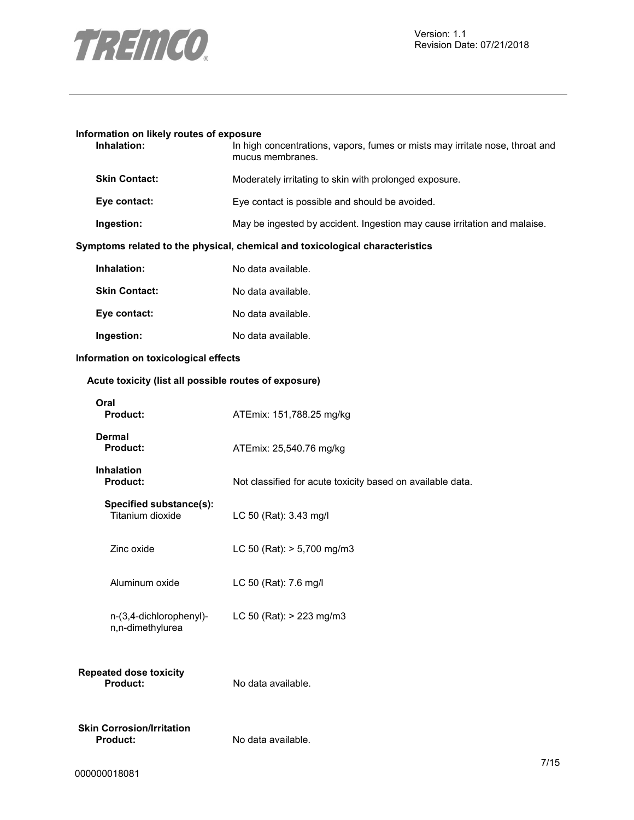

## **Information on likely routes of exposure Inhalation:** In high concentrations, vapors, fumes or mists may irritate nose, throat and mucus membranes. **Skin Contact:** Moderately irritating to skin with prolonged exposure. **Eye contact:** Eye contact is possible and should be avoided. **Ingestion:** May be ingested by accident. Ingestion may cause irritation and malaise. **Symptoms related to the physical, chemical and toxicological characteristics Inhalation:** No data available. **Skin Contact:** No data available. **Eye contact:** No data available. **Ingestion:** No data available. **Information on toxicological effects Acute toxicity (list all possible routes of exposure) Oral Product:** ATEmix: 151,788.25 mg/kg **Dermal Product:** ATEmix: 25,540.76 mg/kg **Inhalation**  Not classified for acute toxicity based on available data. **Specified substance(s):**  LC 50 (Rat): 3.43 mg/l Zinc oxide LC 50 (Rat): > 5,700 mg/m3 Aluminum oxide LC 50 (Rat): 7.6 mg/l n-(3,4-dichlorophenyl) n,n-dimethylurea LC 50 (Rat): > 223 mg/m3 **Repeated dose toxicity Product:** No data available. **Skin Corrosion/Irritation Product:** No data available.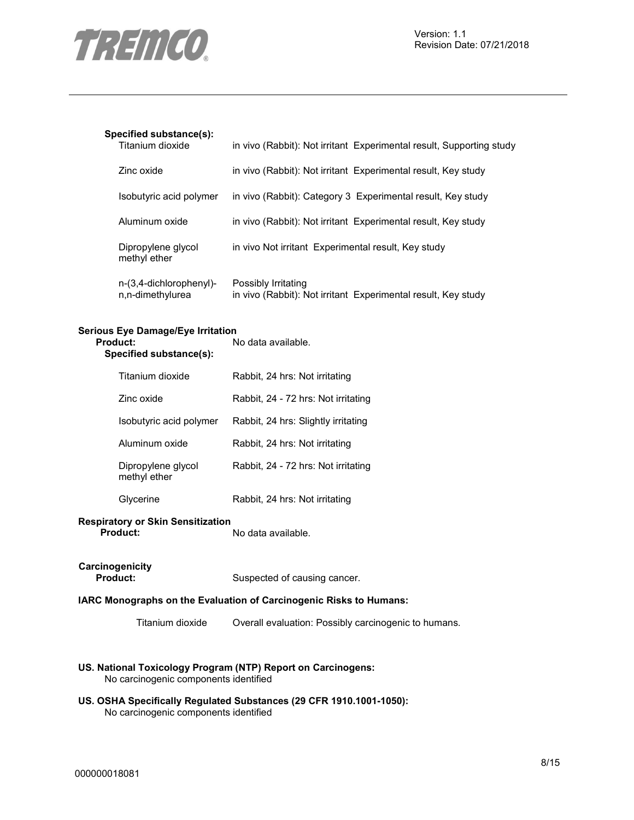

### **Specified substance(s):**

| Titanium dioxide                            | in vivo (Rabbit): Not irritant Experimental result, Supporting study                 |
|---------------------------------------------|--------------------------------------------------------------------------------------|
| Zinc oxide                                  | in vivo (Rabbit): Not irritant Experimental result, Key study                        |
| Isobutyric acid polymer                     | in vivo (Rabbit): Category 3 Experimental result, Key study                          |
| Aluminum oxide                              | in vivo (Rabbit): Not irritant Experimental result, Key study                        |
| Dipropylene glycol<br>methyl ether          | in vivo Not irritant Experimental result, Key study                                  |
| n-(3,4-dichlorophenyl)-<br>n,n-dimethylurea | Possibly Irritating<br>in vivo (Rabbit): Not irritant Experimental result, Key study |

## **Serious Eye Damage/Eye Irritation**

| Product:<br>Specified substance(s): | No data available.                  |  |
|-------------------------------------|-------------------------------------|--|
| Titanium dioxide                    | Rabbit, 24 hrs: Not irritating      |  |
| Zinc oxide                          | Rabbit, 24 - 72 hrs: Not irritating |  |
| Isobutyric acid polymer             | Rabbit, 24 hrs: Slightly irritating |  |
| Aluminum oxide                      | Rabbit, 24 hrs: Not irritating      |  |
| Dipropylene glycol<br>methyl ether  | Rabbit, 24 - 72 hrs: Not irritating |  |
| Glycerine                           | Rabbit, 24 hrs: Not irritating      |  |

## **Respiratory or Skin Sensitization**

No data available.

## **Carcinogenicity**

**Product:** Suspected of causing cancer.

### **IARC Monographs on the Evaluation of Carcinogenic Risks to Humans:**

Titanium dioxide Overall evaluation: Possibly carcinogenic to humans.

### **US. National Toxicology Program (NTP) Report on Carcinogens:**  No carcinogenic components identified

### **US. OSHA Specifically Regulated Substances (29 CFR 1910.1001-1050):**

No carcinogenic components identified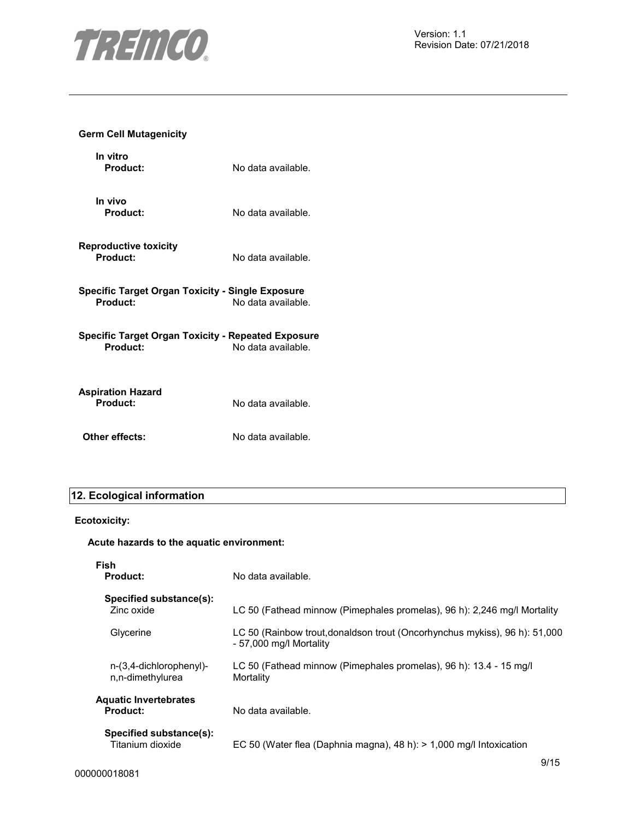

### **Germ Cell Mutagenicity**

| In vitro<br>Product:                                           | No data available. |
|----------------------------------------------------------------|--------------------|
| In vivo<br><b>Product:</b>                                     | No data available. |
| Reproductive toxicity<br>Product:                              | No data available. |
| Specific Target Organ Toxicity - Single Exposure<br>Product:   | No data available. |
| Specific Target Organ Toxicity - Repeated Exposure<br>Product: | No data available. |
| Aspiration Hazard<br>Product:                                  | No data available. |
| Other effects:                                                 | No data available. |

### **12. Ecological information**

### **Ecotoxicity:**

### **Acute hazards to the aquatic environment:**

| Fish<br>Product:                                | No data available.                                                                                    |
|-------------------------------------------------|-------------------------------------------------------------------------------------------------------|
| Specified substance(s):<br>Zinc oxide           | LC 50 (Fathead minnow (Pimephales promelas), 96 h): 2,246 mg/l Mortality                              |
| Glycerine                                       | LC 50 (Rainbow trout, donaldson trout (Oncorhynchus mykiss), 96 h): 51,000<br>- 57,000 mg/l Mortality |
| n-(3,4-dichlorophenyl)-<br>n,n-dimethylurea     | LC 50 (Fathead minnow (Pimephales promelas), 96 h): 13.4 - 15 mg/l<br>Mortality                       |
| <b>Aquatic Invertebrates</b><br><b>Product:</b> | No data available.                                                                                    |
| Specified substance(s):<br>Titanium dioxide     | EC 50 (Water flea (Daphnia magna), 48 h): > 1,000 mg/l Intoxication                                   |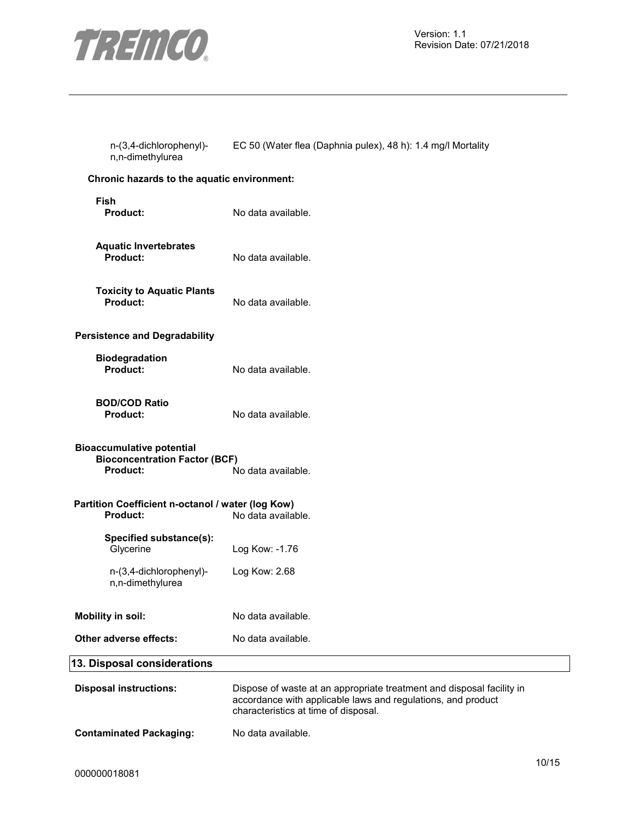

| n-(3,4-dichlorophenyl)- | EC 50 (Water flea (Daphnia pulex), 48 h): 1.4 mg/l Mortality |
|-------------------------|--------------------------------------------------------------|
| n,n-dimethylurea        |                                                              |

### **Chronic hazards to the aquatic environment:**

| Fish<br><b>Product:</b>                       | No data available. |
|-----------------------------------------------|--------------------|
| <b>Aquatic Invertebrates</b><br>Product:      | No data available. |
| <b>Toxicity to Aquatic Plants</b><br>Product: | No data available. |
| Persistence and Degradability                 |                    |
| <b>Biodegradation</b><br>Product:             | No data available. |
| <b>BOD/COD Ratio</b><br><b>Product:</b>       | No data available. |

| <b>Product:</b>                  | No data available. |
|----------------------------------|--------------------|
|                                  |                    |
| <b>Bioaccumulative potential</b> |                    |

### **Bioconcentration Factor (BCF) Product:** No data available.

| Partition Coefficient n-octanol / water (log Kow) |                    |
|---------------------------------------------------|--------------------|
| <b>Product:</b>                                   | No data available. |
| Specified substance(s):                           |                    |
| Glycerine                                         | Log Kow: -1.76     |

| n-(3,4-dichlorophenyl)-<br>n,n-dimethylurea | Log Kow: 2.68 |
|---------------------------------------------|---------------|
|                                             |               |

## **Mobility in soil:** No data available.

| Other adverse effects: | No data available. |
|------------------------|--------------------|
|                        |                    |

### **13. Disposal considerations**

| <b>Disposal instructions:</b>  | Dispose of waste at an appropriate treatment and disposal facility in<br>accordance with applicable laws and regulations, and product<br>characteristics at time of disposal. |
|--------------------------------|-------------------------------------------------------------------------------------------------------------------------------------------------------------------------------|
| <b>Contaminated Packaging:</b> | No data available.                                                                                                                                                            |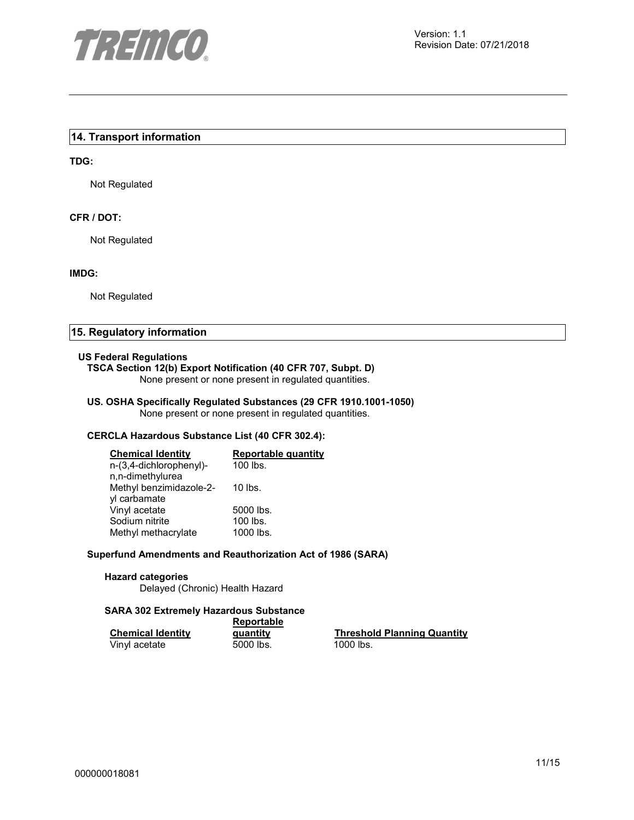

### **14. Transport information**

### **TDG:**

Not Regulated

### **CFR / DOT:**

Not Regulated

#### **IMDG:**

Not Regulated

### **15. Regulatory information**

#### **US Federal Regulations**

### **TSCA Section 12(b) Export Notification (40 CFR 707, Subpt. D)**

None present or none present in regulated quantities.

## **US. OSHA Specifically Regulated Substances (29 CFR 1910.1001-1050)**

None present or none present in regulated quantities.

### **CERCLA Hazardous Substance List (40 CFR 302.4):**

| <b>Chemical Identity</b> | <b>Reportable quantity</b> |
|--------------------------|----------------------------|
| n-(3,4-dichlorophenyl)-  | 100 lbs.                   |
| n,n-dimethylurea         |                            |
| Methyl benzimidazole-2-  | 10 lbs.                    |
| yl carbamate             |                            |
| Vinyl acetate            | 5000 lbs.                  |
| Sodium nitrite           | 100 lbs.                   |
| Methyl methacrylate      | 1000 lbs.                  |

#### **Superfund Amendments and Reauthorization Act of 1986 (SARA)**

### **Hazard categories**

Delayed (Chronic) Health Hazard

#### **SARA 302 Extremely Hazardous Substance**

|                          | <b>Reportable</b> |                 |  |
|--------------------------|-------------------|-----------------|--|
| <b>Chemical Identity</b> | quantity          | <b>Threshol</b> |  |
| Vinyl acetate            | 5000 lbs.         | 1000 lbs.       |  |

**pold Planning Quantity**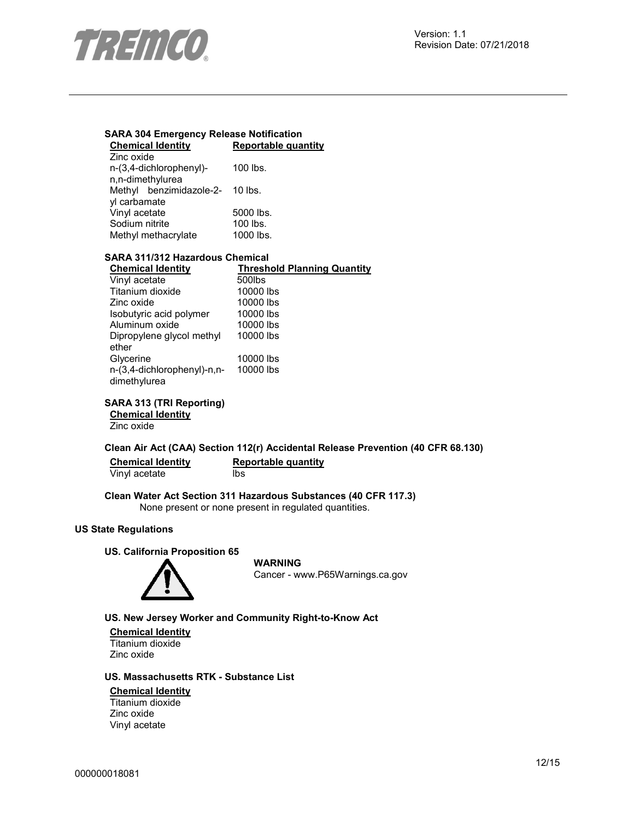

### **SARA 304 Emergency Release Notification Chemical Identity Reportable quantity**

| Zinc oxide                      |           |
|---------------------------------|-----------|
| n-(3,4-dichlorophenyl)-         | 100 lbs.  |
| n,n-dimethylurea                |           |
| Methyl benzimidazole-2- 10 lbs. |           |
| yl carbamate                    |           |
| Vinyl acetate                   | 5000 lbs. |
| Sodium nitrite                  | 100 lbs.  |
| Methyl methacrylate             | 1000 lbs. |

### **SARA 311/312 Hazardous Chemical**

| <b>Chemical Identity</b>    | <b>Threshold Planning Quantity</b> |
|-----------------------------|------------------------------------|
| Vinyl acetate               | 500lbs                             |
| Titanium dioxide            | 10000 lbs                          |
| Zinc oxide                  | 10000 lbs                          |
| Isobutyric acid polymer     | 10000 lbs                          |
| Aluminum oxide              | 10000 lbs                          |
| Dipropylene glycol methyl   | 10000 lbs                          |
| ether                       |                                    |
| Glycerine                   | 10000 lbs                          |
| n-(3,4-dichlorophenyl)-n,n- | 10000 lbs                          |
| dimethylurea                |                                    |
|                             |                                    |

**SARA 313 (TRI Reporting)** 

**Chemical Identity** Zinc oxide

### **Clean Air Act (CAA) Section 112(r) Accidental Release Prevention (40 CFR 68.130)**

| <b>Chemical Identity</b> | Reportable quantity |
|--------------------------|---------------------|
| Vinyl acetate            | lbs                 |

### **Clean Water Act Section 311 Hazardous Substances (40 CFR 117.3)**  None present or none present in regulated quantities.

### **US State Regulations**

#### **US. California Proposition 65**



**WARNING** Cancer - www.P65Warnings.ca.gov

### **US. New Jersey Worker and Community Right-to-Know Act**

**Chemical Identity** Titanium dioxide Zinc oxide

### **US. Massachusetts RTK - Substance List**

### **Chemical Identity**

Titanium dioxide Zinc oxide Vinyl acetate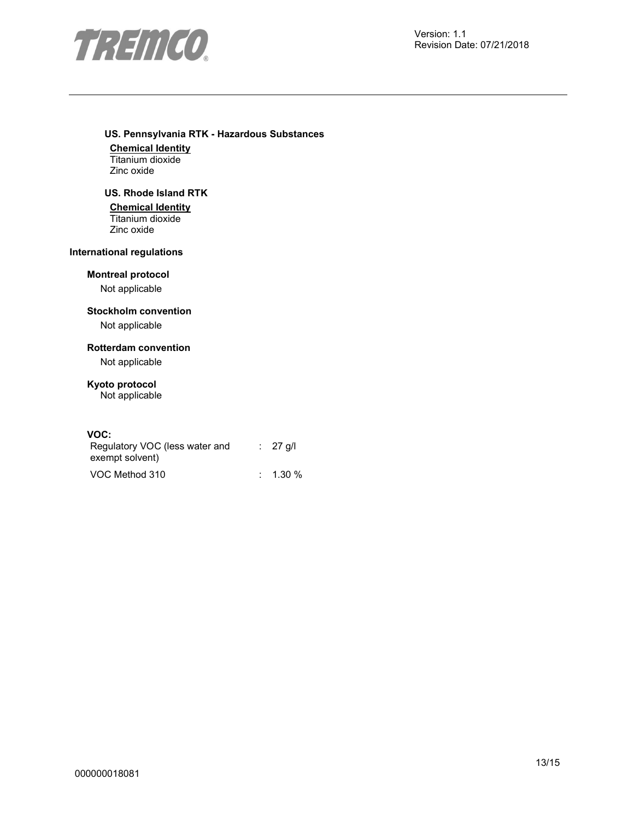

### **US. Pennsylvania RTK - Hazardous Substances**

**Chemical Identity** Titanium dioxide Zinc oxide

### **US. Rhode Island RTK**

**Chemical Identity** Titanium dioxide Zinc oxide

### **International regulations**

**Montreal protocol** 

Not applicable

### **Stockholm convention**

Not applicable

### **Rotterdam convention**

Not applicable

### **Kyoto protocol**

Not applicable

### **VOC:**

| Regulatory VOC (less water and<br>exempt solvent) | $\therefore$ 27 g/l |
|---------------------------------------------------|---------------------|
| VOC Method 310                                    | $\therefore$ 1.30 % |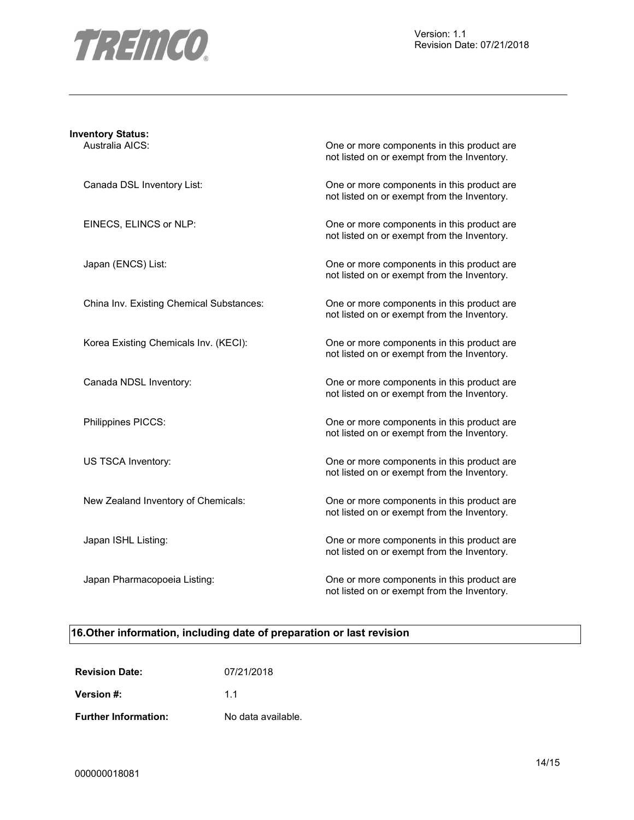

| <b>Inventory Status:</b><br>Australia AICS: | One or more components in this product are<br>not listed on or exempt from the Inventory. |
|---------------------------------------------|-------------------------------------------------------------------------------------------|
| Canada DSL Inventory List:                  | One or more components in this product are<br>not listed on or exempt from the Inventory. |
| EINECS, ELINCS or NLP:                      | One or more components in this product are<br>not listed on or exempt from the Inventory. |
| Japan (ENCS) List:                          | One or more components in this product are<br>not listed on or exempt from the Inventory. |
| China Inv. Existing Chemical Substances:    | One or more components in this product are<br>not listed on or exempt from the Inventory. |
| Korea Existing Chemicals Inv. (KECI):       | One or more components in this product are<br>not listed on or exempt from the Inventory. |
| Canada NDSL Inventory:                      | One or more components in this product are<br>not listed on or exempt from the Inventory. |
| Philippines PICCS:                          | One or more components in this product are<br>not listed on or exempt from the Inventory. |
| US TSCA Inventory:                          | One or more components in this product are<br>not listed on or exempt from the Inventory. |
| New Zealand Inventory of Chemicals:         | One or more components in this product are<br>not listed on or exempt from the Inventory. |
| Japan ISHL Listing:                         | One or more components in this product are<br>not listed on or exempt from the Inventory. |
| Japan Pharmacopoeia Listing:                | One or more components in this product are<br>not listed on or exempt from the Inventory. |

### **16.Other information, including date of preparation or last revision**

| <b>Revision Date:</b>       | 07/21/2018         |
|-----------------------------|--------------------|
| Version #:                  | 11                 |
| <b>Further Information:</b> | No data available. |